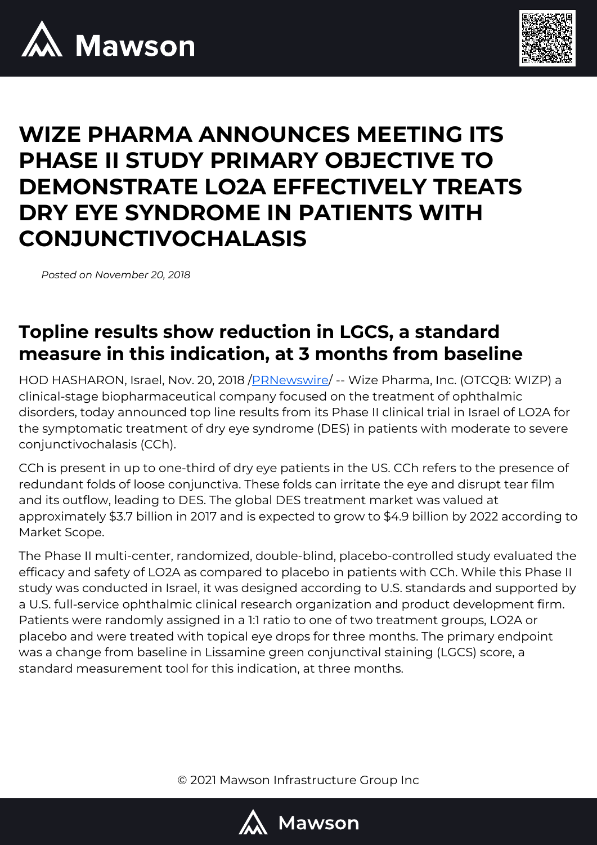



# **WIZE PHARMA ANNOUNCES MEETING ITS PHASE II STUDY PRIMARY OBJECTIVE TO DEMONSTRATE LO2A EFFECTIVELY TREATS DRY EYE SYNDROME IN PATIENTS WITH CONJUNCTIVOCHALASIS**

*Posted on November 20, 2018*

#### **Topline results show reduction in LGCS, a standard measure in this indication, at 3 months from baseline**

HOD HASHARON, Israel, Nov. 20, 2018 [/PRNewswire/](http://www.prnewswire.com/) -- Wize Pharma, Inc. (OTCQB: WIZP) a clinical-stage biopharmaceutical company focused on the treatment of ophthalmic disorders, today announced top line results from its Phase II clinical trial in Israel of LO2A for the symptomatic treatment of dry eye syndrome (DES) in patients with moderate to severe conjunctivochalasis (CCh).

CCh is present in up to one-third of dry eye patients in the US. CCh refers to the presence of redundant folds of loose conjunctiva. These folds can irritate the eye and disrupt tear film and its outflow, leading to DES. The global DES treatment market was valued at approximately \$3.7 billion in 2017 and is expected to grow to \$4.9 billion by 2022 according to Market Scope.

The Phase II multi-center, randomized, double-blind, placebo-controlled study evaluated the efficacy and safety of LO2A as compared to placebo in patients with CCh. While this Phase II study was conducted in Israel, it was designed according to U.S. standards and supported by a U.S. full-service ophthalmic clinical research organization and product development firm. Patients were randomly assigned in a 1:1 ratio to one of two treatment groups, LO2A or placebo and were treated with topical eye drops for three months. The primary endpoint was a change from baseline in Lissamine green conjunctival staining (LGCS) score, a standard measurement tool for this indication, at three months.

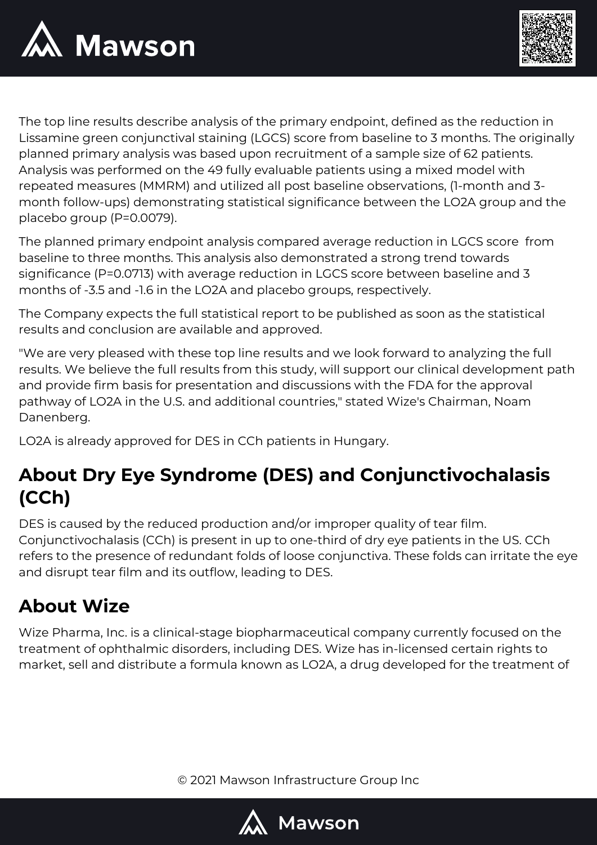



The top line results describe analysis of the primary endpoint, defined as the reduction in Lissamine green conjunctival staining (LGCS) score from baseline to 3 months. The originally planned primary analysis was based upon recruitment of a sample size of 62 patients. Analysis was performed on the 49 fully evaluable patients using a mixed model with repeated measures (MMRM) and utilized all post baseline observations, (1-month and 3 month follow-ups) demonstrating statistical significance between the LO2A group and the placebo group (P=0.0079).

The planned primary endpoint analysis compared average reduction in LGCS score from baseline to three months. This analysis also demonstrated a strong trend towards significance (P=0.0713) with average reduction in LGCS score between baseline and 3 months of -3.5 and -1.6 in the LO2A and placebo groups, respectively.

The Company expects the full statistical report to be published as soon as the statistical results and conclusion are available and approved.

"We are very pleased with these top line results and we look forward to analyzing the full results. We believe the full results from this study, will support our clinical development path and provide firm basis for presentation and discussions with the FDA for the approval pathway of LO2A in the U.S. and additional countries," stated Wize's Chairman, Noam Danenberg.

LO2A is already approved for DES in CCh patients in Hungary.

# **About Dry Eye Syndrome (DES) and Conjunctivochalasis (CCh)**

DES is caused by the reduced production and/or improper quality of tear film. Conjunctivochalasis (CCh) is present in up to one-third of dry eye patients in the US. CCh refers to the presence of redundant folds of loose conjunctiva. These folds can irritate the eye and disrupt tear film and its outflow, leading to DES.

### **About Wize**

Wize Pharma, Inc. is a clinical-stage biopharmaceutical company currently focused on the treatment of ophthalmic disorders, including DES. Wize has in-licensed certain rights to market, sell and distribute a formula known as LO2A, a drug developed for the treatment of

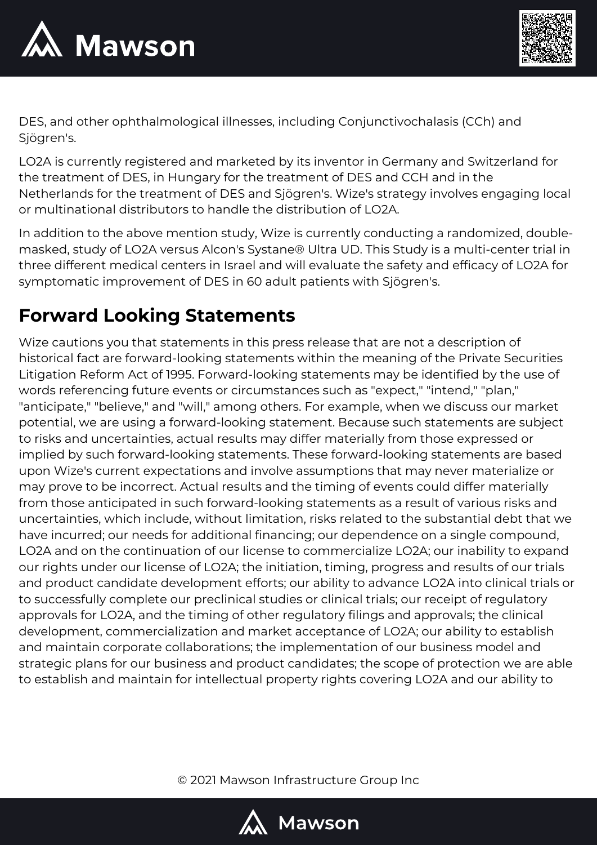



DES, and other ophthalmological illnesses, including Conjunctivochalasis (CCh) and Sjögren's.

LO2A is currently registered and marketed by its inventor in Germany and Switzerland for the treatment of DES, in Hungary for the treatment of DES and CCH and in the Netherlands for the treatment of DES and Sjögren's. Wize's strategy involves engaging local or multinational distributors to handle the distribution of LO2A.

In addition to the above mention study, Wize is currently conducting a randomized, doublemasked, study of LO2A versus Alcon's Systane® Ultra UD. This Study is a multi-center trial in three different medical centers in Israel and will evaluate the safety and efficacy of LO2A for symptomatic improvement of DES in 60 adult patients with Sjögren's.

## **Forward Looking Statements**

Wize cautions you that statements in this press release that are not a description of historical fact are forward-looking statements within the meaning of the Private Securities Litigation Reform Act of 1995. Forward-looking statements may be identified by the use of words referencing future events or circumstances such as "expect," "intend," "plan," "anticipate," "believe," and "will," among others. For example, when we discuss our market potential, we are using a forward-looking statement. Because such statements are subject to risks and uncertainties, actual results may differ materially from those expressed or implied by such forward-looking statements. These forward-looking statements are based upon Wize's current expectations and involve assumptions that may never materialize or may prove to be incorrect. Actual results and the timing of events could differ materially from those anticipated in such forward-looking statements as a result of various risks and uncertainties, which include, without limitation, risks related to the substantial debt that we have incurred; our needs for additional financing; our dependence on a single compound, LO2A and on the continuation of our license to commercialize LO2A; our inability to expand our rights under our license of LO2A; the initiation, timing, progress and results of our trials and product candidate development efforts; our ability to advance LO2A into clinical trials or to successfully complete our preclinical studies or clinical trials; our receipt of regulatory approvals for LO2A, and the timing of other regulatory filings and approvals; the clinical development, commercialization and market acceptance of LO2A; our ability to establish and maintain corporate collaborations; the implementation of our business model and strategic plans for our business and product candidates; the scope of protection we are able to establish and maintain for intellectual property rights covering LO2A and our ability to